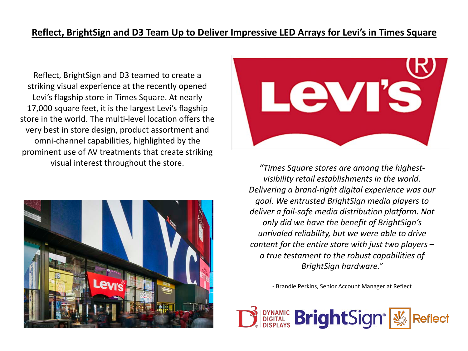## **Reflect, BrightSign and D3 Team Up to Deliver Impressive LED Arrays for Levi's in Times Square**

Reflect, BrightSign and D3 teamed to create a striking visual experience at the recently opened Levi's flagship store in Times Square. At nearly 17,000 square feet, it is the largest Levi's flagship store in the world. The multi-level location offers the very best in store design, product assortment and omni-channel capabilities, highlighted by the prominent use of AV treatments that create striking visual interest throughout the store.





*"Times Square stores are among the highestvisibility retail establishments in the world. Delivering a brand-right digital experience was our goal. We entrusted BrightSign media players to deliver a fail-safe media distribution platform. Not only did we have the benefit of BrightSign's unrivaled reliability, but we were able to drive content for the entire store with just two players – a true testament to the robust capabilities of BrightSign hardware."*

- Brandie Perkins, Senior Account Manager at Reflect